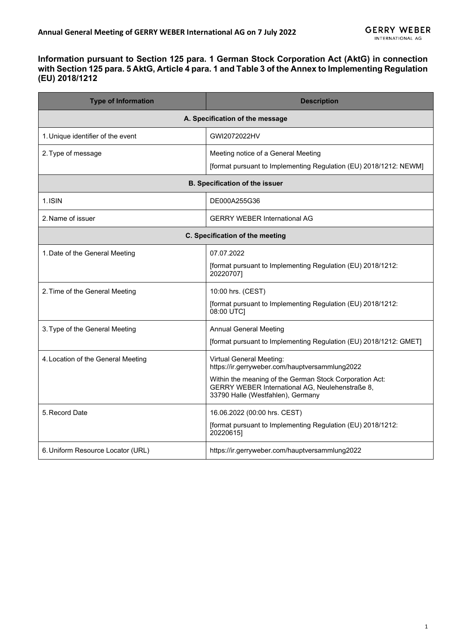## **Information pursuant to Section 125 para. 1 German Stock Corporation Act (AktG) in connection with Section 125 para. 5 AktG, Article 4 para. 1 and Table 3 of the Annex to Implementing Regulation (EU) 2018/1212**

| <b>Type of Information</b>            | <b>Description</b>                                                                                                                                                                                                                   |  |
|---------------------------------------|--------------------------------------------------------------------------------------------------------------------------------------------------------------------------------------------------------------------------------------|--|
|                                       | A. Specification of the message                                                                                                                                                                                                      |  |
| 1. Unique identifier of the event     | GWI2072022HV                                                                                                                                                                                                                         |  |
| 2. Type of message                    | Meeting notice of a General Meeting<br>[format pursuant to Implementing Regulation (EU) 2018/1212: NEWM]                                                                                                                             |  |
| <b>B. Specification of the issuer</b> |                                                                                                                                                                                                                                      |  |
| 1.ISIN                                | DE000A255G36                                                                                                                                                                                                                         |  |
| 2. Name of issuer                     | <b>GERRY WEBER International AG</b>                                                                                                                                                                                                  |  |
| C. Specification of the meeting       |                                                                                                                                                                                                                                      |  |
| 1. Date of the General Meeting        | 07.07.2022<br>[format pursuant to Implementing Regulation (EU) 2018/1212:<br>20220707]                                                                                                                                               |  |
| 2. Time of the General Meeting        | 10:00 hrs. (CEST)<br>[format pursuant to Implementing Regulation (EU) 2018/1212:<br>08:00 UTC]                                                                                                                                       |  |
| 3. Type of the General Meeting        | <b>Annual General Meeting</b><br>[format pursuant to Implementing Regulation (EU) 2018/1212: GMET]                                                                                                                                   |  |
| 4. Location of the General Meeting    | <b>Virtual General Meeting:</b><br>https://ir.gerryweber.com/hauptversammlung2022<br>Within the meaning of the German Stock Corporation Act:<br>GERRY WEBER International AG, Neulehenstraße 8,<br>33790 Halle (Westfahlen), Germany |  |
| 5. Record Date                        | 16.06.2022 (00:00 hrs. CEST)<br>[format pursuant to Implementing Regulation (EU) 2018/1212:<br>20220615]                                                                                                                             |  |
| 6. Uniform Resource Locator (URL)     | https://ir.gerryweber.com/hauptversammlung2022                                                                                                                                                                                       |  |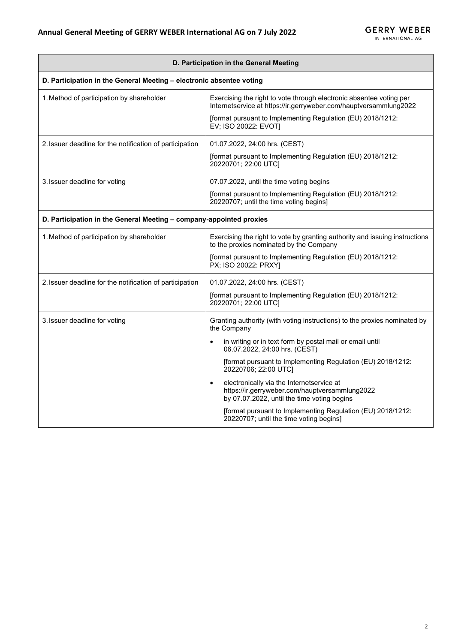| D. Participation in the General Meeting                              |                                                                                                                                                         |  |
|----------------------------------------------------------------------|---------------------------------------------------------------------------------------------------------------------------------------------------------|--|
| D. Participation in the General Meeting - electronic absentee voting |                                                                                                                                                         |  |
| 1. Method of participation by shareholder                            | Exercising the right to vote through electronic absentee voting per<br>Internetservice at https://ir.gerryweber.com/hauptversammlung2022                |  |
|                                                                      | [format pursuant to Implementing Regulation (EU) 2018/1212:<br>EV; ISO 20022: EVOT]                                                                     |  |
| 2. Issuer deadline for the notification of participation             | 01.07.2022, 24:00 hrs. (CEST)                                                                                                                           |  |
|                                                                      | [format pursuant to Implementing Regulation (EU) 2018/1212:<br>20220701; 22:00 UTC]                                                                     |  |
| 3. Issuer deadline for voting                                        | 07.07.2022, until the time voting begins                                                                                                                |  |
|                                                                      | [format pursuant to Implementing Regulation (EU) 2018/1212:<br>20220707; until the time voting begins]                                                  |  |
| D. Participation in the General Meeting - company-appointed proxies  |                                                                                                                                                         |  |
| 1. Method of participation by shareholder                            | Exercising the right to vote by granting authority and issuing instructions<br>to the proxies nominated by the Company                                  |  |
|                                                                      | [format pursuant to Implementing Regulation (EU) 2018/1212:<br>PX; ISO 20022: PRXY]                                                                     |  |
| 2. Issuer deadline for the notification of participation             | 01.07.2022, 24:00 hrs. (CEST)                                                                                                                           |  |
|                                                                      | [format pursuant to Implementing Regulation (EU) 2018/1212:<br>20220701; 22:00 UTC]                                                                     |  |
| 3. Issuer deadline for voting                                        | Granting authority (with voting instructions) to the proxies nominated by<br>the Company                                                                |  |
|                                                                      | in writing or in text form by postal mail or email until<br>06.07.2022, 24:00 hrs. (CEST)                                                               |  |
|                                                                      | [format pursuant to Implementing Regulation (EU) 2018/1212:<br>20220706; 22:00 UTC]                                                                     |  |
|                                                                      | electronically via the Internetservice at<br>$\bullet$<br>https://ir.gerryweber.com/hauptversammlung2022<br>by 07.07.2022, until the time voting begins |  |
|                                                                      | [format pursuant to Implementing Regulation (EU) 2018/1212:<br>20220707; until the time voting begins]                                                  |  |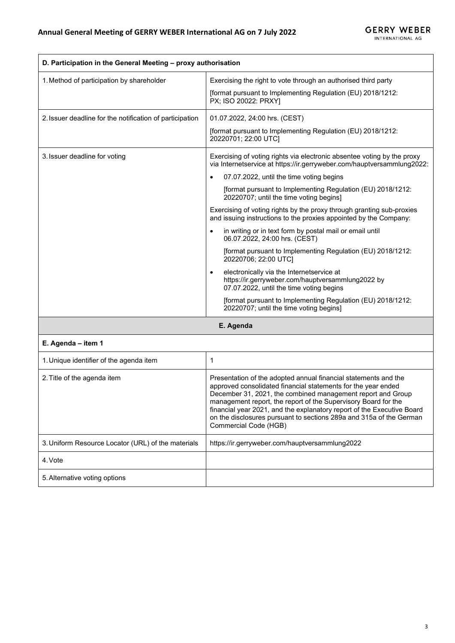| D. Participation in the General Meeting - proxy authorisation |                                                                                                                                                                                                                                                                                                                                                                                                                                                                                                                                                                                                                                                                                                                                                                                                                                                                                                   |
|---------------------------------------------------------------|---------------------------------------------------------------------------------------------------------------------------------------------------------------------------------------------------------------------------------------------------------------------------------------------------------------------------------------------------------------------------------------------------------------------------------------------------------------------------------------------------------------------------------------------------------------------------------------------------------------------------------------------------------------------------------------------------------------------------------------------------------------------------------------------------------------------------------------------------------------------------------------------------|
| 1. Method of participation by shareholder                     | Exercising the right to vote through an authorised third party<br>[format pursuant to Implementing Regulation (EU) 2018/1212:<br>PX; ISO 20022: PRXY]                                                                                                                                                                                                                                                                                                                                                                                                                                                                                                                                                                                                                                                                                                                                             |
| 2. Issuer deadline for the notification of participation      | 01.07.2022, 24:00 hrs. (CEST)<br>[format pursuant to Implementing Regulation (EU) 2018/1212:<br>20220701; 22:00 UTC]                                                                                                                                                                                                                                                                                                                                                                                                                                                                                                                                                                                                                                                                                                                                                                              |
| 3. Issuer deadline for voting                                 | Exercising of voting rights via electronic absentee voting by the proxy<br>via Internetservice at https://ir.gerryweber.com/hauptversammlung2022:<br>07.07.2022, until the time voting begins<br>[format pursuant to Implementing Regulation (EU) 2018/1212:<br>20220707; until the time voting begins]<br>Exercising of voting rights by the proxy through granting sub-proxies<br>and issuing instructions to the proxies appointed by the Company:<br>in writing or in text form by postal mail or email until<br>06.07.2022, 24:00 hrs. (CEST)<br>[format pursuant to Implementing Regulation (EU) 2018/1212:<br>20220706; 22:00 UTC]<br>electronically via the Internetservice at<br>https://ir.gerryweber.com/hauptversammlung2022 by<br>07.07.2022, until the time voting begins<br>[format pursuant to Implementing Regulation (EU) 2018/1212:<br>20220707; until the time voting begins] |

**E. Agenda**

## **E. Agenda – item 1**

| 1. Unique identifier of the agenda item            |                                                                                                                                                                                                                                                                                                                                                                                                                                             |
|----------------------------------------------------|---------------------------------------------------------------------------------------------------------------------------------------------------------------------------------------------------------------------------------------------------------------------------------------------------------------------------------------------------------------------------------------------------------------------------------------------|
| 2. Title of the agenda item                        | Presentation of the adopted annual financial statements and the<br>approved consolidated financial statements for the year ended<br>December 31, 2021, the combined management report and Group<br>management report, the report of the Supervisory Board for the<br>financial year 2021, and the explanatory report of the Executive Board<br>on the disclosures pursuant to sections 289a and 315a of the German<br>Commercial Code (HGB) |
| 3. Uniform Resource Locator (URL) of the materials | https://ir.gerryweber.com/hauptversammlung2022                                                                                                                                                                                                                                                                                                                                                                                              |
| 4. Vote                                            |                                                                                                                                                                                                                                                                                                                                                                                                                                             |
| 5. Alternative voting options                      |                                                                                                                                                                                                                                                                                                                                                                                                                                             |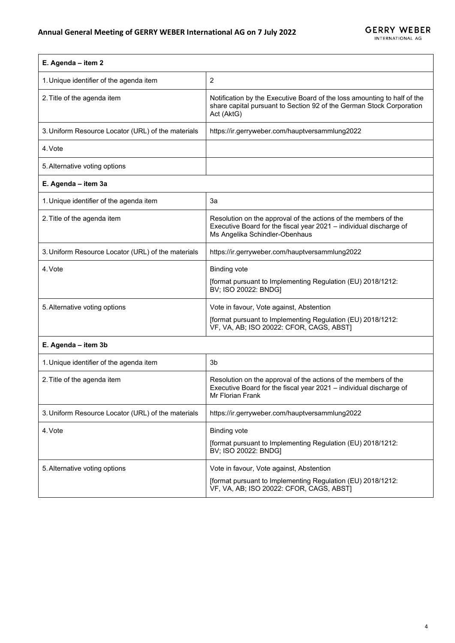| E. Agenda - item 2                                 |                                                                                                                                                                         |
|----------------------------------------------------|-------------------------------------------------------------------------------------------------------------------------------------------------------------------------|
| 1. Unique identifier of the agenda item            | $\overline{2}$                                                                                                                                                          |
| 2. Title of the agenda item                        | Notification by the Executive Board of the loss amounting to half of the<br>share capital pursuant to Section 92 of the German Stock Corporation<br>Act (AktG)          |
| 3. Uniform Resource Locator (URL) of the materials | https://ir.gerryweber.com/hauptversammlung2022                                                                                                                          |
| 4. Vote                                            |                                                                                                                                                                         |
| 5. Alternative voting options                      |                                                                                                                                                                         |
| E. Agenda - item 3a                                |                                                                                                                                                                         |
| 1. Unique identifier of the agenda item            | За                                                                                                                                                                      |
| 2. Title of the agenda item                        | Resolution on the approval of the actions of the members of the<br>Executive Board for the fiscal year 2021 - individual discharge of<br>Ms Angelika Schindler-Obenhaus |
| 3. Uniform Resource Locator (URL) of the materials | https://ir.gerryweber.com/hauptversammlung2022                                                                                                                          |
| 4. Vote                                            | <b>Binding vote</b>                                                                                                                                                     |
|                                                    | [format pursuant to Implementing Regulation (EU) 2018/1212:<br>BV; ISO 20022: BNDG]                                                                                     |
| 5. Alternative voting options                      | Vote in favour, Vote against, Abstention                                                                                                                                |
|                                                    | [format pursuant to Implementing Regulation (EU) 2018/1212:<br>VF, VA, AB; ISO 20022: CFOR, CAGS, ABST)                                                                 |
| E. Agenda - item 3b                                |                                                                                                                                                                         |
| 1. Unique identifier of the agenda item            | 3b                                                                                                                                                                      |
| 2. Title of the agenda item                        | Resolution on the approval of the actions of the members of the<br>Executive Board for the fiscal year 2021 - individual discharge of<br>Mr Florian Frank               |
| 3. Uniform Resource Locator (URL) of the materials | https://ir.gerryweber.com/hauptversammlung2022                                                                                                                          |
| 4. Vote                                            | <b>Binding vote</b>                                                                                                                                                     |
|                                                    | [format pursuant to Implementing Regulation (EU) 2018/1212:<br>BV; ISO 20022: BNDG]                                                                                     |
| 5. Alternative voting options                      | Vote in favour, Vote against, Abstention                                                                                                                                |
|                                                    | [format pursuant to Implementing Regulation (EU) 2018/1212:<br>VF, VA, AB; ISO 20022: CFOR, CAGS, ABST]                                                                 |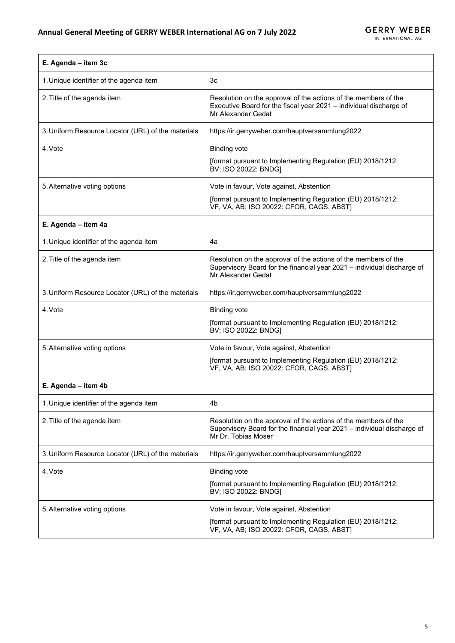| E. Agenda - item 3c                                |                                                                                                                                                                   |
|----------------------------------------------------|-------------------------------------------------------------------------------------------------------------------------------------------------------------------|
| 1. Unique identifier of the agenda item            | Зc                                                                                                                                                                |
| 2. Title of the agenda item                        | Resolution on the approval of the actions of the members of the<br>Executive Board for the fiscal year 2021 - individual discharge of<br>Mr Alexander Gedat       |
| 3. Uniform Resource Locator (URL) of the materials | https://ir.gerryweber.com/hauptversammlung2022                                                                                                                    |
| 4. Vote                                            | <b>Binding vote</b>                                                                                                                                               |
|                                                    | [format pursuant to Implementing Regulation (EU) 2018/1212:<br>BV; ISO 20022: BNDG]                                                                               |
| 5. Alternative voting options                      | Vote in favour, Vote against, Abstention                                                                                                                          |
|                                                    | [format pursuant to Implementing Regulation (EU) 2018/1212:<br>VF, VA, AB; ISO 20022: CFOR, CAGS, ABST]                                                           |
| E. Agenda - item 4a                                |                                                                                                                                                                   |
| 1. Unique identifier of the agenda item            | 4a                                                                                                                                                                |
| 2. Title of the agenda item                        | Resolution on the approval of the actions of the members of the<br>Supervisory Board for the financial year 2021 - individual discharge of<br>Mr Alexander Gedat  |
| 3. Uniform Resource Locator (URL) of the materials | https://ir.gerryweber.com/hauptversammlung2022                                                                                                                    |
| 4. Vote                                            | <b>Binding vote</b>                                                                                                                                               |
|                                                    | [format pursuant to Implementing Regulation (EU) 2018/1212:<br>BV; ISO 20022: BNDG]                                                                               |
| 5. Alternative voting options                      | Vote in favour, Vote against, Abstention                                                                                                                          |
|                                                    | [format pursuant to Implementing Regulation (EU) 2018/1212:<br>VF, VA, AB; ISO 20022: CFOR, CAGS, ABST)                                                           |
| E. Agenda - item 4b                                |                                                                                                                                                                   |
| 1. Unique identifier of the agenda item            | 4b                                                                                                                                                                |
| 2. Title of the agenda item                        | Resolution on the approval of the actions of the members of the<br>Supervisory Board for the financial year 2021 - individual discharge of<br>Mr Dr. Tobias Moser |
| 3. Uniform Resource Locator (URL) of the materials | https://ir.gerryweber.com/hauptversammlung2022                                                                                                                    |
| 4. Vote                                            | <b>Binding vote</b>                                                                                                                                               |
|                                                    | [format pursuant to Implementing Regulation (EU) 2018/1212:<br>BV; ISO 20022: BNDG]                                                                               |

[format pursuant to Implementing Regulation (EU) 2018/1212:

VF, VA, AB; ISO 20022: CFOR, CAGS, ABST]

5. Alternative voting options **Vote in favour, Vote against, Abstention**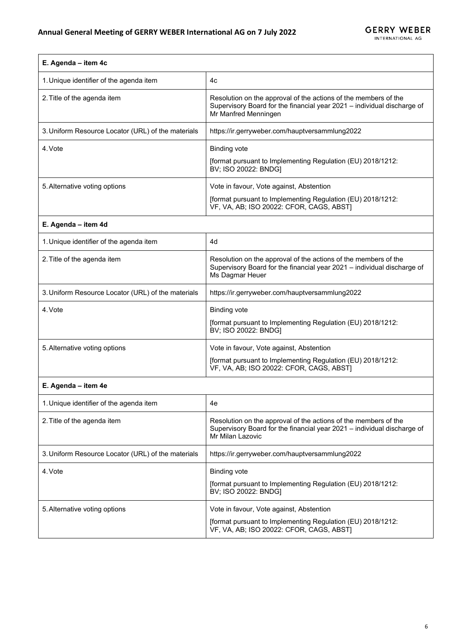| E. Agenda - item 4c                                |                                                                                                                                                                    |
|----------------------------------------------------|--------------------------------------------------------------------------------------------------------------------------------------------------------------------|
| 1. Unique identifier of the agenda item            | 4c                                                                                                                                                                 |
| 2. Title of the agenda item                        | Resolution on the approval of the actions of the members of the<br>Supervisory Board for the financial year 2021 - individual discharge of<br>Mr Manfred Menningen |
| 3. Uniform Resource Locator (URL) of the materials | https://ir.gerryweber.com/hauptversammlung2022                                                                                                                     |
| 4. Vote                                            | <b>Binding vote</b>                                                                                                                                                |
|                                                    | [format pursuant to Implementing Regulation (EU) 2018/1212:<br>BV; ISO 20022: BNDG]                                                                                |
| 5. Alternative voting options                      | Vote in favour, Vote against, Abstention                                                                                                                           |
|                                                    | [format pursuant to Implementing Regulation (EU) 2018/1212:<br>VF, VA, AB; ISO 20022: CFOR, CAGS, ABST]                                                            |
| E. Agenda - item 4d                                |                                                                                                                                                                    |
| 1. Unique identifier of the agenda item            | 4d                                                                                                                                                                 |
| 2. Title of the agenda item                        | Resolution on the approval of the actions of the members of the<br>Supervisory Board for the financial year 2021 - individual discharge of<br>Ms Dagmar Heuer      |
| 3. Uniform Resource Locator (URL) of the materials | https://ir.gerryweber.com/hauptversammlung2022                                                                                                                     |
| 4. Vote                                            | <b>Binding vote</b>                                                                                                                                                |
|                                                    | [format pursuant to Implementing Regulation (EU) 2018/1212:<br>BV; ISO 20022: BNDG]                                                                                |
| 5. Alternative voting options                      | Vote in favour, Vote against, Abstention                                                                                                                           |
|                                                    | [format pursuant to Implementing Regulation (EU) 2018/1212:<br>VF, VA, AB; ISO 20022: CFOR, CAGS, ABST]                                                            |
| E. Agenda - item 4e                                |                                                                                                                                                                    |
| 1. Unique identifier of the agenda item            | 4e                                                                                                                                                                 |
| 2. Title of the agenda item                        | Resolution on the approval of the actions of the members of the<br>Supervisory Board for the financial year 2021 - individual discharge of<br>Mr Milan Lazovic     |
| 3. Uniform Resource Locator (URL) of the materials | https://ir.gerryweber.com/hauptversammlung2022                                                                                                                     |
| 4. Vote                                            | <b>Binding vote</b>                                                                                                                                                |
|                                                    | [format pursuant to Implementing Regulation (EU) 2018/1212:<br>BV; ISO 20022: BNDG]                                                                                |
| 5. Alternative voting options                      | Vote in favour, Vote against, Abstention                                                                                                                           |

[format pursuant to Implementing Regulation (EU) 2018/1212:

VF, VA, AB; ISO 20022: CFOR, CAGS, ABST]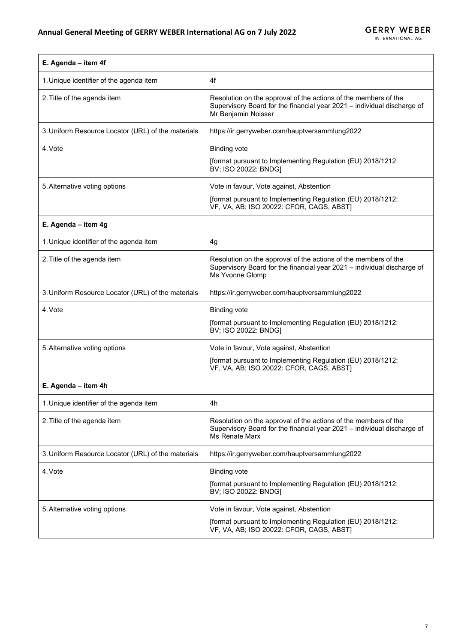| E. Agenda - item 4f                                |                                                                                                                                                                   |  |
|----------------------------------------------------|-------------------------------------------------------------------------------------------------------------------------------------------------------------------|--|
| 1. Unique identifier of the agenda item            | 4f                                                                                                                                                                |  |
| 2. Title of the agenda item                        | Resolution on the approval of the actions of the members of the<br>Supervisory Board for the financial year 2021 - individual discharge of<br>Mr Benjamin Noisser |  |
| 3. Uniform Resource Locator (URL) of the materials | https://ir.gerryweber.com/hauptversammlung2022                                                                                                                    |  |
| 4. Vote                                            | <b>Binding vote</b><br>[format pursuant to Implementing Regulation (EU) 2018/1212:<br>BV; ISO 20022: BNDG]                                                        |  |
| 5. Alternative voting options                      | Vote in favour, Vote against, Abstention                                                                                                                          |  |
|                                                    | [format pursuant to Implementing Regulation (EU) 2018/1212:<br>VF, VA, AB; ISO 20022: CFOR, CAGS, ABST]                                                           |  |
| E. Agenda - item 4g                                |                                                                                                                                                                   |  |
| 1. Unique identifier of the agenda item            | 4g                                                                                                                                                                |  |
| 2. Title of the agenda item                        | Resolution on the approval of the actions of the members of the<br>Supervisory Board for the financial year 2021 - individual discharge of<br>Ms Yvonne Glomp     |  |
| 3. Uniform Resource Locator (URL) of the materials | https://ir.gerryweber.com/hauptversammlung2022                                                                                                                    |  |
| 4. Vote                                            | <b>Binding vote</b>                                                                                                                                               |  |
|                                                    | [format pursuant to Implementing Regulation (EU) 2018/1212:<br>BV; ISO 20022: BNDG]                                                                               |  |
| 5. Alternative voting options                      | Vote in favour, Vote against, Abstention                                                                                                                          |  |
|                                                    | [format pursuant to Implementing Regulation (EU) 2018/1212:<br>VF, VA, AB; ISO 20022: CFOR, CAGS, ABST]                                                           |  |
| E. Agenda - item 4h                                |                                                                                                                                                                   |  |
| 1 Unique identifier of the agenda item             | 4h                                                                                                                                                                |  |

| 1. Unique identifier of the agenda item            | 4h                                                                                                                                                           |
|----------------------------------------------------|--------------------------------------------------------------------------------------------------------------------------------------------------------------|
| 2. Title of the agenda item                        | Resolution on the approval of the actions of the members of the<br>Supervisory Board for the financial year 2021 – individual discharge of<br>Ms Renate Marx |
| 3. Uniform Resource Locator (URL) of the materials | https://ir.gerryweber.com/hauptversammlung2022                                                                                                               |
| 4. Vote                                            | <b>Binding vote</b><br>[format pursuant to Implementing Regulation (EU) 2018/1212:<br>BV; ISO 20022: BNDG]                                                   |
| 5. Alternative voting options                      | Vote in favour, Vote against, Abstention<br>[format pursuant to Implementing Regulation (EU) 2018/1212:<br>VF, VA, AB; ISO 20022: CFOR, CAGS, ABST)          |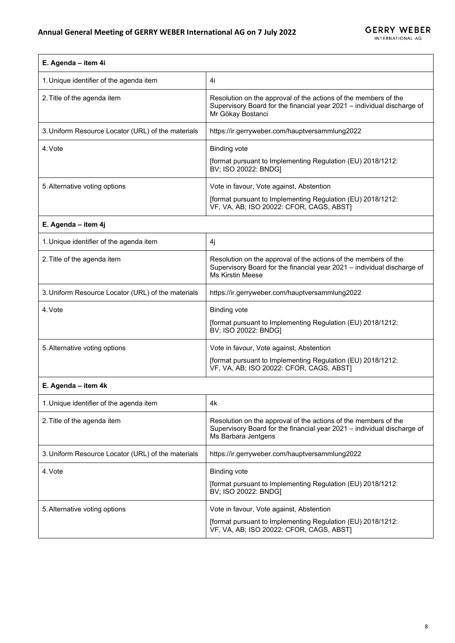| E. Agenda - item 4i                                |                                                                                                                                                                       |  |
|----------------------------------------------------|-----------------------------------------------------------------------------------------------------------------------------------------------------------------------|--|
| 1. Unique identifier of the agenda item            | 4i                                                                                                                                                                    |  |
| 2. Title of the agenda item                        | Resolution on the approval of the actions of the members of the<br>Supervisory Board for the financial year 2021 - individual discharge of<br>Mr Gökay Bostanci       |  |
| 3. Uniform Resource Locator (URL) of the materials | https://ir.gerryweber.com/hauptversammlung2022                                                                                                                        |  |
| 4. Vote                                            | <b>Binding vote</b><br>[format pursuant to Implementing Regulation (EU) 2018/1212:<br>BV; ISO 20022: BNDG]                                                            |  |
| 5. Alternative voting options                      | Vote in favour, Vote against, Abstention<br>[format pursuant to Implementing Regulation (EU) 2018/1212:<br>VF, VA, AB; ISO 20022: CFOR, CAGS, ABST]                   |  |
| E. Agenda - item 4j                                |                                                                                                                                                                       |  |
| 1. Unique identifier of the agenda item            | 4j                                                                                                                                                                    |  |
| 2. Title of the agenda item                        | Resolution on the approval of the actions of the members of the<br>Supervisory Board for the financial year 2021 - individual discharge of<br><b>Ms Kirstin Meese</b> |  |
| 3. Uniform Resource Locator (URL) of the materials | https://ir.gerryweber.com/hauptversammlung2022                                                                                                                        |  |
| 4. Vote                                            | <b>Binding vote</b><br>[format pursuant to Implementing Regulation (EU) 2018/1212:<br>BV; ISO 20022: BNDG]                                                            |  |
| 5. Alternative voting options                      | Vote in favour, Vote against, Abstention<br>[format pursuant to Implementing Regulation (EU) 2018/1212:<br>VF, VA, AB; ISO 20022: CFOR, CAGS, ABST]                   |  |
| E. Agenda - item 4k                                |                                                                                                                                                                       |  |
| 1. Unique identifier of the agenda item            | 4k                                                                                                                                                                    |  |
| 2. Title of the agenda item                        | Resolution on the approval of the actions of the members of the<br>Supervisory Board for the financial year 2021 - individual discharge of<br>Ms Barbara Jentgens     |  |
| 3. Uniform Resource Locator (URL) of the materials | https://ir.gerryweber.com/hauptversammlung2022                                                                                                                        |  |
| 4. Vote                                            | <b>Binding vote</b><br>[format pursuant to Implementing Regulation (EU) 2018/1212:<br>BV; ISO 20022: BNDG]                                                            |  |
| 5. Alternative voting options                      | Vote in favour, Vote against, Abstention<br>[format pursuant to Implementing Regulation (EU) 2018/1212:<br>VF, VA, AB; ISO 20022: CFOR, CAGS, ABST]                   |  |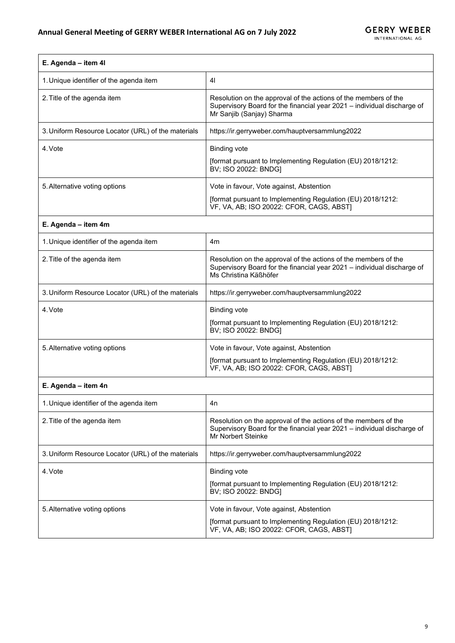| E. Agenda - item 4l                                |                                                                                                                                                                         |  |
|----------------------------------------------------|-------------------------------------------------------------------------------------------------------------------------------------------------------------------------|--|
| 1. Unique identifier of the agenda item            | 41                                                                                                                                                                      |  |
| 2. Title of the agenda item                        | Resolution on the approval of the actions of the members of the<br>Supervisory Board for the financial year 2021 - individual discharge of<br>Mr Sanjib (Sanjay) Sharma |  |
| 3. Uniform Resource Locator (URL) of the materials | https://ir.gerryweber.com/hauptversammlung2022                                                                                                                          |  |
| 4. Vote                                            | <b>Binding vote</b><br>[format pursuant to Implementing Regulation (EU) 2018/1212:<br>BV; ISO 20022: BNDG]                                                              |  |
| 5. Alternative voting options                      | Vote in favour, Vote against, Abstention                                                                                                                                |  |
|                                                    | [format pursuant to Implementing Regulation (EU) 2018/1212:<br>VF, VA, AB; ISO 20022: CFOR, CAGS, ABST)                                                                 |  |
| E. Agenda - item 4m                                |                                                                                                                                                                         |  |
| 1. Unique identifier of the agenda item            | 4m                                                                                                                                                                      |  |
| 2. Title of the agenda item                        | Resolution on the approval of the actions of the members of the<br>Supervisory Board for the financial year 2021 - individual discharge of<br>Ms Christina Käßhöfer     |  |
| 3. Uniform Resource Locator (URL) of the materials | https://ir.gerryweber.com/hauptversammlung2022                                                                                                                          |  |
| 4. Vote                                            | <b>Binding vote</b>                                                                                                                                                     |  |
|                                                    | [format pursuant to Implementing Regulation (EU) 2018/1212:<br>BV; ISO 20022: BNDG]                                                                                     |  |
| 5. Alternative voting options                      | Vote in favour, Vote against, Abstention                                                                                                                                |  |
|                                                    | [format pursuant to Implementing Regulation (EU) 2018/1212:<br>VF, VA, AB; ISO 20022: CFOR, CAGS, ABST]                                                                 |  |
| E. Agenda - item 4n                                |                                                                                                                                                                         |  |
| 1. Unique identifier of the agenda item            | 4n                                                                                                                                                                      |  |
| 2. Title of the agenda item                        | Resolution on the approval of the actions of the members of the<br>Supervisory Board for the financial year 2021 - individual discharge of<br>Mr Norbert Steinke        |  |
| 3. Uniform Resource Locator (URL) of the materials | https://ir.gerryweber.com/hauptversammlung2022                                                                                                                          |  |
| 4. Vote                                            | <b>Binding vote</b>                                                                                                                                                     |  |
|                                                    | [format pursuant to Implementing Regulation (EU) 2018/1212:<br>BV; ISO 20022: BNDG]                                                                                     |  |
| 5. Alternative voting options                      | Vote in favour, Vote against, Abstention                                                                                                                                |  |
|                                                    | [format pursuant to Implementing Regulation (EU) 2018/1212:<br>VF, VA, AB; ISO 20022: CFOR, CAGS, ABST]                                                                 |  |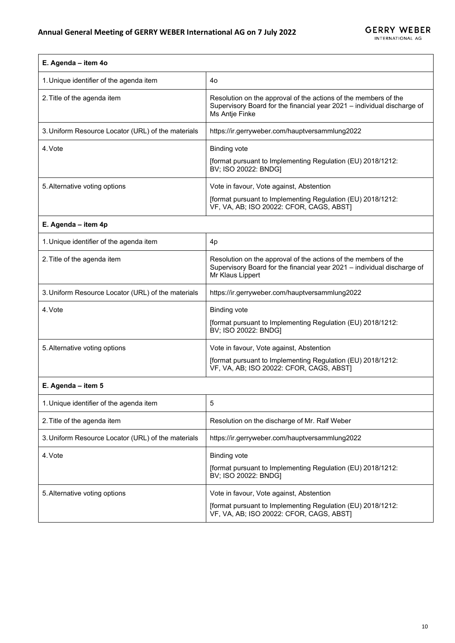| E. Agenda - item 4o                                |                                                                                                                                                                |  |
|----------------------------------------------------|----------------------------------------------------------------------------------------------------------------------------------------------------------------|--|
| 1. Unique identifier of the agenda item            | 40                                                                                                                                                             |  |
| 2. Title of the agenda item                        | Resolution on the approval of the actions of the members of the<br>Supervisory Board for the financial year 2021 - individual discharge of<br>Ms Antje Finke   |  |
| 3. Uniform Resource Locator (URL) of the materials | https://ir.gerryweber.com/hauptversammlung2022                                                                                                                 |  |
| 4. Vote                                            | <b>Binding vote</b>                                                                                                                                            |  |
|                                                    | [format pursuant to Implementing Regulation (EU) 2018/1212:<br>BV; ISO 20022: BNDG]                                                                            |  |
| 5. Alternative voting options                      | Vote in favour, Vote against, Abstention                                                                                                                       |  |
|                                                    | [format pursuant to Implementing Regulation (EU) 2018/1212:<br>VF, VA, AB; ISO 20022: CFOR, CAGS, ABST]                                                        |  |
| E. Agenda - item 4p                                |                                                                                                                                                                |  |
| 1. Unique identifier of the agenda item            | 4 <sub>p</sub>                                                                                                                                                 |  |
| 2. Title of the agenda item                        | Resolution on the approval of the actions of the members of the<br>Supervisory Board for the financial year 2021 - individual discharge of<br>Mr Klaus Lippert |  |
| 3. Uniform Resource Locator (URL) of the materials | https://ir.gerryweber.com/hauptversammlung2022                                                                                                                 |  |
| 4. Vote                                            | <b>Binding vote</b>                                                                                                                                            |  |
|                                                    | [format pursuant to Implementing Regulation (EU) 2018/1212:<br>BV; ISO 20022: BNDG]                                                                            |  |
| 5. Alternative voting options                      | Vote in favour, Vote against, Abstention                                                                                                                       |  |
|                                                    | [format pursuant to Implementing Regulation (EU) 2018/1212:<br>VF, VA, AB; ISO 20022: CFOR, CAGS, ABST)                                                        |  |
| E. Agenda - item 5                                 |                                                                                                                                                                |  |
| 1. Unique identifier of the agenda item            | 5                                                                                                                                                              |  |
| 2. Title of the agenda item                        | Resolution on the discharge of Mr. Ralf Weber                                                                                                                  |  |
| 3. Uniform Resource Locator (URL) of the materials | https://ir.gerryweber.com/hauptversammlung2022                                                                                                                 |  |
| 4. Vote                                            | <b>Binding vote</b>                                                                                                                                            |  |
|                                                    | [format pursuant to Implementing Regulation (EU) 2018/1212:<br>BV; ISO 20022: BNDG]                                                                            |  |
| 5. Alternative voting options                      | Vote in favour, Vote against, Abstention                                                                                                                       |  |
|                                                    | [format pursuant to Implementing Regulation (EU) 2018/1212:<br>VF, VA, AB; ISO 20022: CFOR, CAGS, ABST]                                                        |  |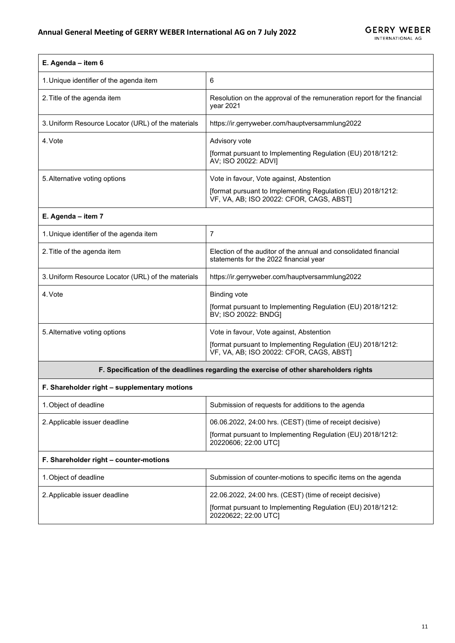| E. Agenda - item 6                                 |                                                                                                                                                     |
|----------------------------------------------------|-----------------------------------------------------------------------------------------------------------------------------------------------------|
| 1. Unique identifier of the agenda item            | 6                                                                                                                                                   |
| 2. Title of the agenda item                        | Resolution on the approval of the remuneration report for the financial<br>vear 2021                                                                |
| 3. Uniform Resource Locator (URL) of the materials | https://ir.gerryweber.com/hauptversammlung2022                                                                                                      |
| 4. Vote                                            | Advisory vote<br>[format pursuant to Implementing Regulation (EU) 2018/1212:<br>AV; ISO 20022: ADVI]                                                |
| 5. Alternative voting options                      | Vote in favour, Vote against, Abstention<br>[format pursuant to Implementing Regulation (EU) 2018/1212:<br>VF, VA, AB; ISO 20022: CFOR, CAGS, ABST) |

## **E. Agenda – item 7**

 $\Gamma$ 

| 1. Unique identifier of the agenda item            | 7                                                                                                                                                   |
|----------------------------------------------------|-----------------------------------------------------------------------------------------------------------------------------------------------------|
| 2. Title of the agenda item                        | Election of the auditor of the annual and consolidated financial<br>statements for the 2022 financial year                                          |
| 3. Uniform Resource Locator (URL) of the materials | https://ir.gerryweber.com/hauptversammlung2022                                                                                                      |
| 4. Vote                                            | <b>Binding vote</b><br>[format pursuant to Implementing Regulation (EU) 2018/1212:<br>BV; ISO 20022: BNDG]                                          |
| 5. Alternative voting options                      | Vote in favour, Vote against, Abstention<br>[format pursuant to Implementing Regulation (EU) 2018/1212:<br>VF, VA, AB; ISO 20022: CFOR, CAGS, ABSTI |
|                                                    |                                                                                                                                                     |

## **F. Specification of the deadlines regarding the exercise of other shareholders rights**

| F. Shareholder right – supplementary motions |                                                                                                                                                 |  |
|----------------------------------------------|-------------------------------------------------------------------------------------------------------------------------------------------------|--|
| 1. Object of deadline                        | Submission of requests for additions to the agenda                                                                                              |  |
| 2. Applicable issuer deadline                | 06.06.2022, 24:00 hrs. (CEST) (time of receipt decisive)<br>[format pursuant to Implementing Regulation (EU) 2018/1212:<br>20220606; 22:00 UTCI |  |
| F. Shareholder right – counter-motions       |                                                                                                                                                 |  |
| 1. Object of deadline                        | Submission of counter-motions to specific items on the agenda                                                                                   |  |
| 2. Applicable issuer deadline                | 22.06.2022, 24:00 hrs. (CEST) (time of receipt decisive)<br>[format pursuant to Implementing Regulation (EU) 2018/1212:<br>20220622; 22:00 UTCI |  |